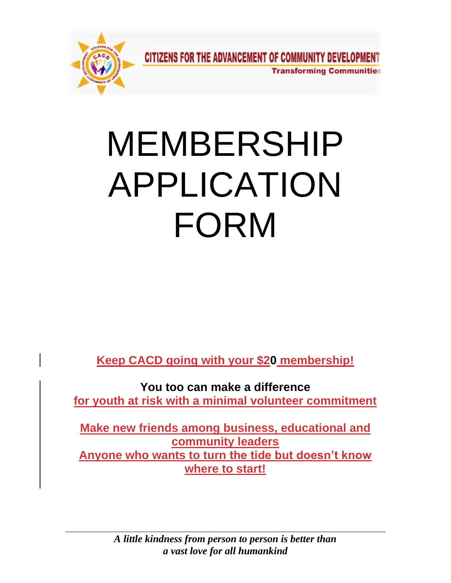

# MEMBERSHIP APPLICATION FORM

**Keep CACD going with your \$20 membership!**

**You too can make a difference for youth at risk with a minimal volunteer commitment**

**Make new friends among business, educational and community leaders Anyone who wants to turn the tide but doesn't know where to start!**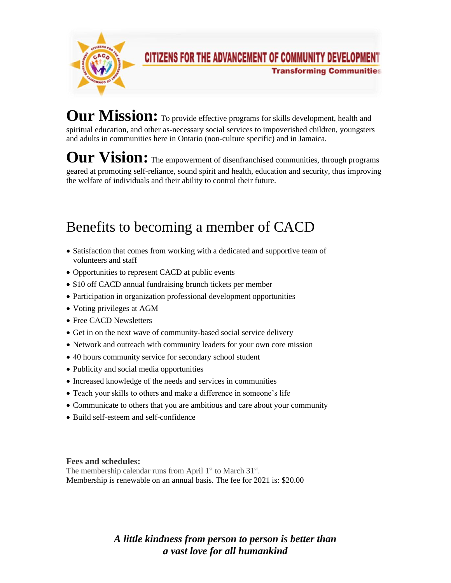

### **CITIZENS FOR THE ADVANCEMENT OF COMMUNITY DEVELOPMENT Transforming Communities**

Our Mission: To provide effective programs for skills development, health and spiritual education, and other as-necessary social services to impoverished children, youngsters and adults in communities here in Ontario (non-culture specific) and in Jamaica.

Our Vision: The empowerment of disenfranchised communities, through programs geared at promoting self-reliance, sound spirit and health, education and security, thus improving the welfare of individuals and their ability to control their future.

## Benefits to becoming a member of CACD

- Satisfaction that comes from working with a dedicated and supportive team of volunteers and staff
- Opportunities to represent CACD at public events
- \$10 off CACD annual fundraising brunch tickets per member
- Participation in organization professional development opportunities
- Voting privileges at AGM
- Free CACD Newsletters
- Get in on the next wave of community-based social service delivery
- Network and outreach with community leaders for your own core mission
- 40 hours community service for secondary school student
- Publicity and social media opportunities
- Increased knowledge of the needs and services in communities
- Teach your skills to others and make a difference in someone's life
- Communicate to others that you are ambitious and care about your community
- Build self-esteem and self-confidence

**Fees and schedules:**

The membership calendar runs from April 1<sup>st</sup> to March 31<sup>st</sup>. Membership is renewable on an annual basis. The fee for 2021 is: \$20.00